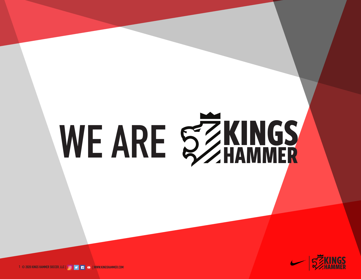# **WE ARE KINGS HAMMER**



**© 2020 KINGS HAMMER SOCCER, LLC | | WWW.KINGSHAMMER.COM <sup>1</sup> HAMMER**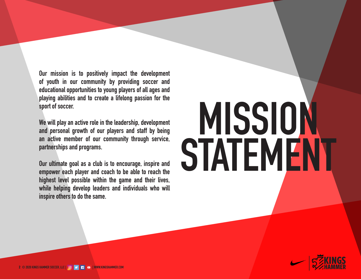**Our mission is to positively impact the development of youth in our community by providing soccer and educational opportunities to young players of all ages and playing abilities and to create a lifelong passion for the sport of soccer.**

**We will play an active role in the leadership, development and personal growth of our players and staff by being an active member of our community through service, partnerships and programs.** 

**Our ultimate goal as a club is to encourage, inspire and empower each player and coach to be able to reach the highest level possible within the game and their lives, while helping develop leaders and individuals who will inspire others to do the same.**

# **MISSION STATEMENT**

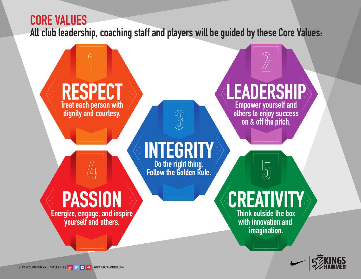# **CORE VALUES All club leadership, coaching staff and players will be guided by these Core Values:**

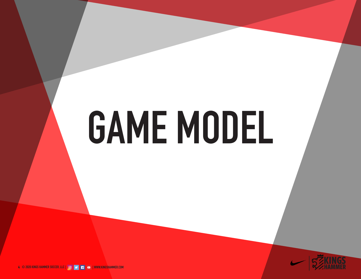# **GAME MODEL**

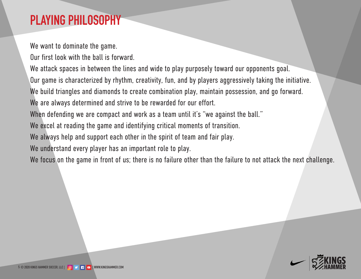# **PLAYING PHILOSOPHY**

We want to dominate the game.

Our first look with the ball is forward.

We attack spaces in between the lines and wide to play purposely toward our opponents goal. Our game is characterized by rhythm, creativity, fun, and by players aggressively taking the initiative. We build triangles and diamonds to create combination play, maintain possession, and go forward. We are always determined and strive to be rewarded for our effort. When defending we are compact and work as a team until it's "we against the ball." We excel at reading the game and identifying critical moments of transition. We always help and support each other in the spirit of team and fair play. We understand every player has an important role to play. We focus on the game in front of us; there is no failure other than the failure to not attack the next challenge.

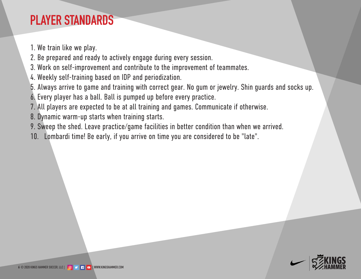# **PLAYER STANDARDS**

- 1. We train like we play.
- 2. Be prepared and ready to actively engage during every session.
- 3. Work on self-improvement and contribute to the improvement of teammates.
- 4. Weekly self-training based on IDP and periodization.
- 5. Always arrive to game and training with correct gear. No gum or jewelry. Shin guards and socks up.
- 6. Every player has a ball. Ball is pumped up before every practice.
- 7. All players are expected to be at all training and games. Communicate if otherwise.
- 8. Dynamic warm-up starts when training starts.
- 9. Sweep the shed. Leave practice/game facilities in better condition than when we arrived.
- 10. Lombardi time! Be early, if you arrive on time you are considered to be "late".

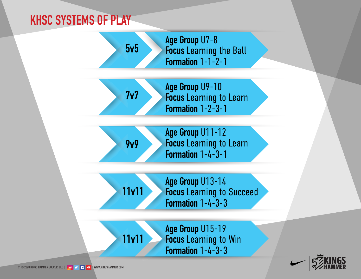## **KHSC SYSTEMS OF PLAY**



**Focus** Learning to Learn **Formation** 1-2-3-1



**Age Group** U11-12 **Focus** Learning to Learn **Formation** 1-4-3-1

**11v11**

**11v11**

**Age Group** U13-14 **Focus** Learning to Succeed **Formation** 1-4-3-3

**Age Group** U15-19 **Focus** Learning to Win **Formation** 1-4-3-3

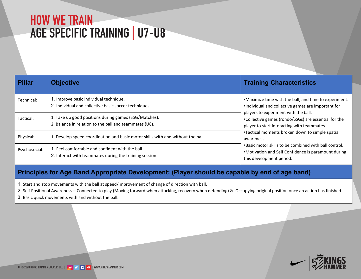### **HOW WE TRAIN** AGE SPECIFIC TRAINING | U7-U8

| <b>Pillar</b> | <b>Objective</b>                                                                                                | <b>Training Characteristics</b>                                                                                                             |
|---------------|-----------------------------------------------------------------------------------------------------------------|---------------------------------------------------------------------------------------------------------------------------------------------|
| Technical:    | 1. Improve basic individual technique.<br>2. Individual and collective basic soccer techniques.                 | .Maximize time with the ball, and time to experiment.<br>.Individual and collective games are important for                                 |
| Tactical:     | 1. Take up good positions during games (SSG/Matches).<br>2. Balance in relation to the ball and teammates (U8). | players to experiment with the ball.<br>•Collective games (rondo/SSGs) are essential for the<br>player to start interacting with teammates. |
| Physical:     | 1. Develop speed coordination and basic motor skills with and without the ball.                                 | •Tactical moments broken down to simple spatial<br>awareness.                                                                               |
| Psychosocial: | 1. Feel comfortable and confident with the ball.<br>2. Interact with teammates during the training session.     | .Basic motor skills to be combined with ball control.<br>•Motivation and Self Confidence is paramount during<br>this development period.    |

#### Principles for Age Band Appropriate Development: (Player should be capable by end of age band)

- 1. Start and stop movements with the ball at speed/Improvement of change of direction with ball.
- 2. Self Positional Awareness Connected to play (Moving forward when attacking, recovery when defending) & Occupying original position once an action has finished.
- 3. Basic quick movements with and without the ball.

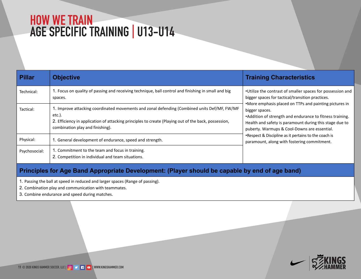### **HOW WE TRAIN** AGE SPECIFIC TRAINING | MMX

| ł%#( - )#! +  | 1. #42. - 04! $\frac{3}{2}$ . &/! 22.-'! - \$ 1%#%5.-' $\frac{3}{4}$ (-)04%5'! $\frac{1}{4}$ . - 31. +! - \$ $\frac{3}{4}$ . $\frac{3}{4}$ . - \$ $\frac{3}{4}$ . $\frac{3}{4}$ . - \$ $\frac{3}{4}$ . $\frac{1}{2}$ . - $\frac{5}{4}$ .<br>$2$ l! #%2 | $\cdot \check{2}$ 3+8%3 (%#. - 31! 23. & 2 ! + $\frac{1}{2}$ 2/! #%2 & 1/. 22%22). - ! - \$<br>") ' %1 2/! #%2 & 1 3 #3#! $\star$ 3!! - 2)3. - / 1! #3#%2<br>• fi. 1%% / (! $2/2$ + #% . - + + fl2! - \$ / !) - 3 - ' / #341% 2) - |
|---------------|--------------------------------------------------------------------------------------------------------------------------------------------------------------------------------------------------------------------------------------------------------|------------------------------------------------------------------------------------------------------------------------------------------------------------------------------------------------------------------------------------|
| $+!$ #3#! +   | $\frac{9}{4}$ .<br>#, ")-! $3 - 1 + 7! - 88$ $2)$ $2) - 7$                                                                                                                                                                                             | ")' ' %1 2/! #%2<br>$\cdot$ \$\$)3. - . & 231% ' 3 ! - \$ % \$41! - #%3 & 3 % 22 3!! } } . ';<br>$/4$ "%137; ž ! 1, 4/2@ $\neq$ . 6 - 2! 1%%22% 3! +                                                                               |
| fl(72)#! +    | $1.$ $\degree$ % % $\degree$ + \$% 5% /, % 3. & % \$41! - #% 92/% \$1 - \$231% $\degree$ 3.                                                                                                                                                            | • L\\\2\'\\\$3@ ^ )\\\$\\ \ + \\le 2)3\'\\33 \- 23 3\\\\\$\: ! #( )2<br>/! 1!, $4 - 39$ ! $+ -1$ 6) $3 \times 23$ (b) $-1$ #, $\frac{1}{2}$ (b) $3 \times 3$                                                                       |
| f 27#(.2#)! + | 1. ., $\binom{3}{6}$ 33 3 (% 34, ! - \$ & #42) - 3!! } } .<br>$2.$ $\sqrt{233}$ - $\div$ $\div$ \$)5)\$4! +! - \$ 3%, 2)34! 3. - 2                                                                                                                     |                                                                                                                                                                                                                                    |

ĀĐĈDĄĈĐĊÆEBĎĐÀCÆÁÅDÆÀĐĐĐĎĐĐĈÅÈÆÃÆÊÆĊĎĐÇÆDÈAĀĊÅĔÆĐEĆĎÉĊÆÅÆĄÅĐÅÅĊÆÁĔÆDÆĎBÅCÆÅÅDÆ

1. fl 22 - 3 %"! + 32/%\$ } 1% 4#%\$! - \$ + 1' % 2/! #%2 \*! - ' %. & ! 22 - ' ?.

- $2.$   $\ldots$   $\frac{1}{2}$   $\frac{1}{4}$  7! \$#  $\ldots$  4- $\frac{1}{2}$  3 6)  $\frac{3}{4}$  3.
- $3.$   $\ldots$  , " )  $\frac{9}{6}$  \$41! #%! \$ 2/9%\$ \$41) ', ! 3# (92)

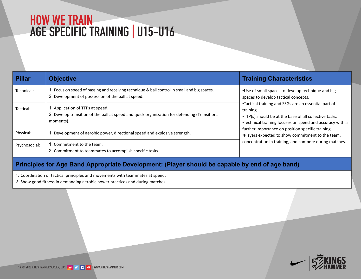### **HOW WE TRAIN AGE SPECIFIC TRAINING |** U15-U16

| <b>Pillar</b> | <b>Objective</b>                                                                                                                                   | <b>Training Characteristics</b>                                                                                                                                                         |
|---------------|----------------------------------------------------------------------------------------------------------------------------------------------------|-----------------------------------------------------------------------------------------------------------------------------------------------------------------------------------------|
| Technical:    | 1. Focus on speed of passing and receiving technique & ball control in small and big spaces.<br>2. Development of possession of the ball at speed. | •Use of small spaces to develop technique and big<br>spaces to develop tactical concepts.                                                                                               |
| Tactical:     | 1. Application of TTPs at speed.<br>2. Develop transition of the ball at speed and quick organization for defending (Transitional<br>moments).     | •Tactical training and SSGs are an essential part of<br>training.<br>•TTP(s) should be at the base of all collective tasks.<br>•Technical training focuses on speed and accuracy with a |
| Physical:     | 1. Development of aerobic power, directional speed and explosive strength.                                                                         | further importance on position specific training.<br>. Players expected to show commitment to the team,                                                                                 |
| Psychosocial: | 1. Commitment to the team.<br>2. Commitment to teammates to accomplish specific tasks.                                                             | concentration in training, and compete during matches.                                                                                                                                  |

#### Principles for Age Band Appropriate Development: (Player should be capable by end of age band)

1. Coordination of tactical principles and movements with teammates at speed.

2. Show good fitness in demanding aerobic power practices and during matches.

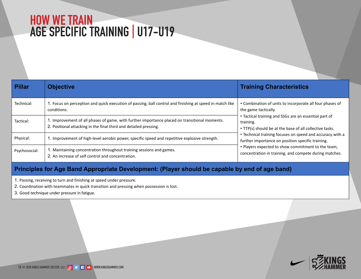### **HOW WE TRAIN** AGE SPECIFIC TRAINING | U17-U19

| <b>Pillar</b> | <b>Objective</b>                                                                                                                                                   | <b>Training Characteristics</b>                                                                                               |
|---------------|--------------------------------------------------------------------------------------------------------------------------------------------------------------------|-------------------------------------------------------------------------------------------------------------------------------|
| Technical:    | 1. Focus on perception and quick execution of passing, ball control and finishing at speed in match like<br>conditions.                                            | • Combination of units to incorporate all four phases of<br>the game tactically.                                              |
| Tactical:     | 1. Improvement of all phases of game, with further importance placed on transitional moments.<br>2. Positional attacking in the final third and detailed pressing. | • Tactical training and SSGs are an essential part of<br>training.<br>• TTP(s) should be at the base of all collective tasks. |
| Physical:     | 1. Improvement of high-level aerobic power, specific speed and repetitive explosive strength.                                                                      | • Technical training focuses on speed and accuracy with a<br>further importance on position specific training.                |
| Psychosocial: | 1. Maintaining concentration throughout training sessions and games.<br>2. An increase of self control and concentration.                                          | . Players expected to show commitment to the team,<br>concentration in training, and compete during matches.                  |

#### Principles for Age Band Appropriate Development: (Player should be capable by end of age band)

1. Passing, receiving to turn and finishing at speed under pressure.

2. Coordination with teammates in quick transition and pressing when possession is lost.

3. Good technique under pressure in fatigue.

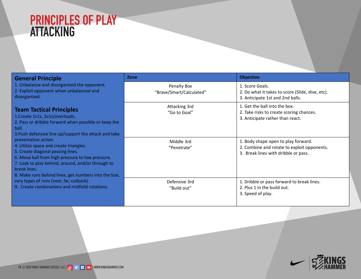# **PRINCIPLES OF PLAY<br>ATTACKING**

| <b>General Principle</b>                                                                                                                                                                                                                                                             | Zone                                    | <b>Objective:</b>                                                                                                          |
|--------------------------------------------------------------------------------------------------------------------------------------------------------------------------------------------------------------------------------------------------------------------------------------|-----------------------------------------|----------------------------------------------------------------------------------------------------------------------------|
| 1. Unbalance and disorganized the opponent.<br>2. Exploit opponent when unbalanced and<br>disorganized.                                                                                                                                                                              | Penalty Box<br>"Brave/Smart/Calculated" | 1. Score Goals.<br>2. Do what it takes to score (Slide, dive, etc).<br>3. Anticipate 1st and 2nd balls.                    |
| <b>Team Tactical Principles</b><br>1. Create 1v1s, 2v1s/overloads.<br>2. Pass or dribble forward when possible or keep the<br>ball.<br>3. Push defensive line up/support the attack and take                                                                                         | Attacking 3rd<br>"Go to Goal"           | 1. Get the ball into the box.<br>2. Take risks to create scoring chances.<br>3. Anticipate rather than react.              |
| preventative action.<br>4. Utilize space and create triangles.<br>5. Create diagonal passing lines.<br>6. Move ball from high pressure to low pressure.<br>7. Look to play behind, around, and/or through to<br>break lines.<br>8. Make runs behind lines, get numbers into the box, | Middle 3rd<br>"Penetrate"               | 1. Body shape open to play forward.<br>2. Combine and rotate to exploit opponents.<br>3. Break lines with dribble or pass. |
| vary types of runs (near, far, cutback).<br>9. Create combinations and midfield rotations.                                                                                                                                                                                           | Defensive 3rd<br>"Build out"            | 1. Dribble or pass forward to break lines.<br>2. Plus 1 in the build out.<br>3. Speed of play.                             |

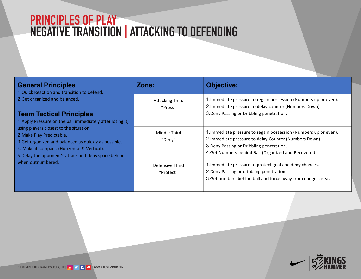# **PRINCIPLES OF PLAY<br>NEGATIVE TRANSITION | ATTACKING TO DEFENDING**

| <b>General Principles</b><br>1. Quick Reaction and transition to defend.                                                                                                                                                                                   | Zone:                             | <b>Objective:</b>                                                                                                                                                                                                                |
|------------------------------------------------------------------------------------------------------------------------------------------------------------------------------------------------------------------------------------------------------------|-----------------------------------|----------------------------------------------------------------------------------------------------------------------------------------------------------------------------------------------------------------------------------|
| 2. Get organized and balanced.<br><b>Team Tactical Principles</b><br>1. Apply Pressure on the ball immediately after losing it,                                                                                                                            | <b>Attacking Third</b><br>"Press" | 1. Immediate pressure to regain possession (Numbers up or even).<br>2. Immediate pressure to delay counter (Numbers Down).<br>3. Deny Passing or Dribbling penetration.                                                          |
| using players closest to the situation.<br>2. Make Play Predictable.<br>3. Get organized and balanced as quickly as possible.<br>4. Make it compact. (Horizontal & Vertical).<br>5. Delay the opponent's attack and deny space behind<br>when outnumbered. | Middle Third<br>"Deny"            | 1. Immediate pressure to regain possession (Numbers up or even).<br>2. Immediate pressure to delay Counter (Numbers Down).<br>3. Deny Passing or Dribbling penetration.<br>4. Get Numbers behind Ball (Organized and Recovered). |
|                                                                                                                                                                                                                                                            | Defensive Third<br>"Protect"      | 1. Immediate pressure to protect goal and deny chances.<br>2. Deny Passing or dribbling penetration.<br>3. Get numbers behind ball and force away from danger areas.                                                             |

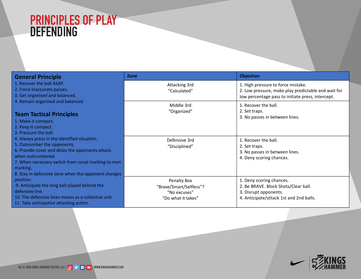# **PRINCIPLES OF PLAY<br>DEFENDING**

| <b>General Principle</b>                                                        | Zone                                    | <b>Objective:</b>                                             |
|---------------------------------------------------------------------------------|-----------------------------------------|---------------------------------------------------------------|
| 1. Recover the ball ASAP.                                                       | Attacking 3rd                           | 1. High pressure to force mistake.                            |
| 2. Force Inaccurate passes.                                                     | "Calculated"                            | 2. Low pressure, make play predictable and wait for           |
| 3. Get organised and balanced.<br>4. Remain organised and balanced.             |                                         | low percentage pass to initiate press, intercept.             |
|                                                                                 | Middle 3rd                              | 1. Recover the ball.                                          |
| <b>Team Tactical Principles</b>                                                 | "Organized"                             | 2. Set traps.                                                 |
| 1. Make it compact.                                                             |                                         | 3. No passes in between lines.                                |
| 2. Keep it compact.                                                             |                                         |                                                               |
| 3. Pressure the ball.                                                           |                                         |                                                               |
| 4. Always press in the identified situation.                                    | Defensive 3rd                           | 1. Recover the ball.                                          |
| 5. Outnumber the opponents.<br>6. Provide cover and delay the opponents attack. | "Disciplined"                           | 2. Set traps.                                                 |
| when outnumbered.                                                               |                                         | 3. No passes in between lines.                                |
| 7. When necessary switch from zonal marking to man                              |                                         | 4. Deny scoring chances.                                      |
| marking.                                                                        |                                         |                                                               |
| 8. Stay in defensive zone when the opponent changes                             |                                         |                                                               |
| position.                                                                       | Penalty Box                             | 1. Deny scoring chances.                                      |
| 9. Anticipate the long ball played behind the<br>defensive line.                | "Brave/Smart/Selfless"?<br>"No excuses" | 2. Be BRAVE. Block Shots/Clear ball.<br>3. Disrupt opponents. |
| 10. The defensive lines moves as a collective unit.                             | "Do what it takes"                      | 4. Anticipate/attack 1st and 2nd balls.                       |
| 11. Take anticipative attacking action.                                         |                                         |                                                               |

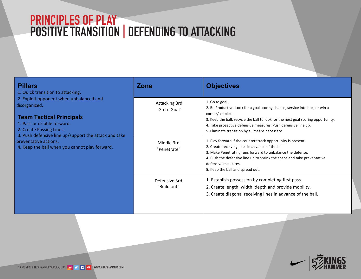### **PRINCIPLES OF PLAY POSITIVE TRANSITION | DEFENDING TO ATTACKING**

| <b>Pillars</b><br>1. Quick transition to attacking.                                                                                                    | <b>Zone</b>                   | <b>Objectives</b>                                                                                                                                                                                                                                                                                                             |
|--------------------------------------------------------------------------------------------------------------------------------------------------------|-------------------------------|-------------------------------------------------------------------------------------------------------------------------------------------------------------------------------------------------------------------------------------------------------------------------------------------------------------------------------|
| 2. Exploit opponent when unbalanced and<br>disorganized.<br><b>Team Tactical Principals</b><br>1. Pass or dribble forward.<br>2. Create Passing Lines. | Attacking 3rd<br>"Go to Goal" | 1. Go to goal.<br>2. Be Productive. Look for a goal scoring chance, service into box, or win a<br>corner/set piece.<br>3. Keep the ball, recycle the ball to look for the next goal scoring opportunity.<br>4. Take proaactive defensive measures. Push defensive line up.<br>5. Eliminate transition by all means necessary. |
| 3. Push defensive line up/support the attack and take<br>preventative actions.<br>4. Keep the ball when you cannot play forward.                       | Middle 3rd<br>"Penetrate"     | 1. Play forward if the counterattack opportunity is present.<br>2. Create receiving lines in advance of the ball.<br>3. Make Penetrating runs forward to unbalance the defense.<br>4. Push the defensive line up to shrink the space and take preventative<br>defensive measures.<br>5. Keep the ball and spread out.         |
|                                                                                                                                                        | Defensive 3rd<br>"Build out"  | 1. Establish possession by completing first pass.<br>2. Create length, width, depth and provide mobility.<br>3. Create diagonal receiving lines in advance of the ball.                                                                                                                                                       |

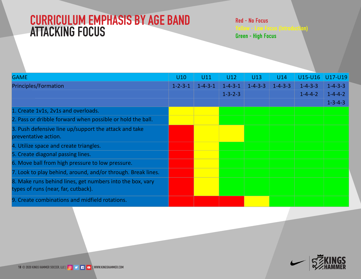### **CURRICULUM EMPHASIS BY AGE BAND ATTACKING FOCUS**

| <b>GAME</b>                                                                                      | <b>U7-U8</b>    | $U9-U10$        | U11             | U12                                | U13             | U14             |                                    | U15-U16 U17-U19                                       |
|--------------------------------------------------------------------------------------------------|-----------------|-----------------|-----------------|------------------------------------|-----------------|-----------------|------------------------------------|-------------------------------------------------------|
| <b>Principles/Formation</b>                                                                      | $1 - 1 - 2 - 1$ | $1 - 2 - 3 - 1$ | $1 - 4 - 3 - 1$ | $1 - 4 - 3 - 1$<br>$1 - 3 - 2 - 3$ | $1 - 4 - 3 - 3$ | $1 - 4 - 3 - 3$ | $1 - 4 - 3 - 3$<br>$1 - 4 - 4 - 2$ | $1 - 4 - 3 - 3$<br>$1 - 4 - 4 - 2$<br>$1 - 3 - 4 - 3$ |
| 1. Create 1v1s, 2v1s and overloads.                                                              |                 |                 |                 |                                    |                 |                 |                                    |                                                       |
| 2. Pass or dribble forward when possible or hold the ball.                                       |                 |                 |                 |                                    |                 |                 |                                    |                                                       |
| 3. Push defensive line up/support the attack and take<br>preventative action.                    |                 |                 |                 |                                    |                 |                 |                                    |                                                       |
| 4. Utilize space and create triangles.                                                           |                 |                 |                 |                                    |                 |                 |                                    |                                                       |
| 5. Create diagonal passing lines.                                                                |                 |                 |                 |                                    |                 |                 |                                    |                                                       |
| 6. Move ball from high pressure to low pressure.                                                 |                 |                 |                 |                                    |                 |                 |                                    |                                                       |
| 7. Look to play behind, around, and/or through. Break lines.                                     |                 |                 |                 |                                    |                 |                 |                                    |                                                       |
| 8. Make runs behind lines, get numbers into the box, vary<br>types of runs (near, far, cutback). |                 |                 |                 |                                    |                 |                 |                                    |                                                       |
| 9. Create combinations and midfield rotations.                                                   |                 |                 |                 |                                    |                 |                 |                                    |                                                       |

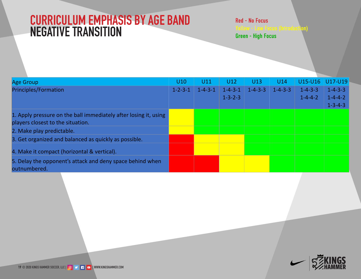### **CURRICULUM EMPHASIS BY AGE BAND NEGATIVE TRANSITION**

| Age Group                                                        | $U7-U8$         | $U9-U10$        | U11             | U12                                | U13             | U14             | U15-U16 U17-U19                    |                                                       |
|------------------------------------------------------------------|-----------------|-----------------|-----------------|------------------------------------|-----------------|-----------------|------------------------------------|-------------------------------------------------------|
| <b>Principles/Formation</b>                                      | $1 - 1 - 2 - 1$ | $1 - 2 - 3 - 1$ | $1 - 4 - 3 - 1$ | $1 - 4 - 3 - 1$<br>$1 - 3 - 2 - 3$ | $1 - 4 - 3 - 3$ | $1 - 4 - 3 - 3$ | $1 - 4 - 3 - 3$<br>$1 - 4 - 4 - 2$ | $1 - 4 - 3 - 3$<br>$1 - 4 - 4 - 2$<br>$1 - 3 - 4 - 3$ |
| 1. Apply Pressure on the ball immediately after losing it, using |                 |                 |                 |                                    |                 |                 |                                    |                                                       |
| players closest to the situation.                                |                 |                 |                 |                                    |                 |                 |                                    |                                                       |
| 2. Make Play Predictable.                                        |                 |                 |                 |                                    |                 |                 |                                    |                                                       |
| 3. Get organized and balanced as quickly as possible.            |                 |                 |                 |                                    |                 |                 |                                    |                                                       |
| 4. Make it compact (Horizontal & Vertical).                      |                 |                 |                 |                                    |                 |                 |                                    |                                                       |
| 5. Delay the opponent's attack and deny space behind when        |                 |                 |                 |                                    |                 |                 |                                    |                                                       |
| outnumbered.                                                     |                 |                 |                 |                                    |                 |                 |                                    |                                                       |

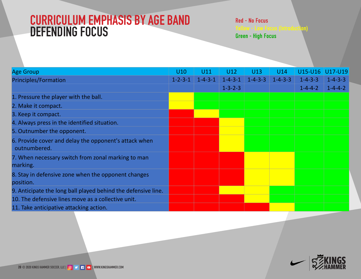### **CURRICULUM EMPHASIS BY AGE BAND DEFENDING FOCUS**

| <b>Age Group</b>                                              | <b>U7-U8</b>    | U9-U10          | U11             | U12             | U13             | U14             | U15-U16         | U17-U19         |
|---------------------------------------------------------------|-----------------|-----------------|-----------------|-----------------|-----------------|-----------------|-----------------|-----------------|
| Principles/Formation                                          | $1 - 1 - 2 - 1$ | $1 - 2 - 3 - 1$ | $1 - 4 - 3 - 1$ | $1 - 4 - 3 - 1$ | $1 - 4 - 3 - 3$ | $1 - 4 - 3 - 3$ | $1 - 4 - 3 - 3$ | $1 - 4 - 3 - 3$ |
|                                                               |                 |                 |                 | $1 - 3 - 2 - 3$ |                 |                 | $1 - 4 - 4 - 2$ | $1 - 4 - 4 - 2$ |
| 1. Pressure the player with the ball.                         |                 |                 |                 |                 |                 |                 |                 |                 |
| 2. Make it compact.                                           |                 |                 |                 |                 |                 |                 |                 |                 |
| 3. Keep it compact.                                           |                 |                 |                 |                 |                 |                 |                 |                 |
| 4. Always press in the identified situation.                  |                 |                 |                 |                 |                 |                 |                 |                 |
| 5. Outnumber the opponents.                                   |                 |                 |                 |                 |                 |                 |                 |                 |
| 6. Provide cover and delay the opponents attack when          |                 |                 |                 |                 |                 |                 |                 |                 |
| outnumbered.                                                  |                 |                 |                 |                 |                 |                 |                 |                 |
| 7. When necessary switch from zonal marking to man marking.   |                 |                 |                 |                 |                 |                 |                 |                 |
| 8. Stay in defensive zone when the opponent changes position. |                 |                 |                 |                 |                 |                 |                 |                 |
| 9. Anticipate the long ball played behind the defensive line. |                 |                 |                 |                 |                 |                 |                 |                 |
| 10. The defensive lines moves as a collective unit.           |                 |                 |                 |                 |                 |                 |                 |                 |
| 11. Take anticipative attacking action.                       |                 |                 |                 |                 |                 |                 |                 |                 |

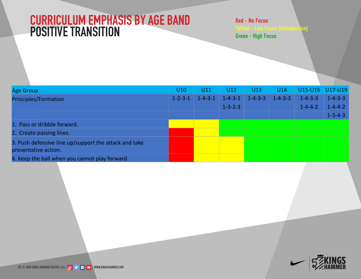### **CURRICULUM EMPHASIS BY AGE BAND POSITIVE TRANSITION**

| Age Group                                             | <b>U7-U8</b>    | U9-U10          | U11             | U12                                | U13             | U14             | U15-U16 U17-U19                    |                                                       |
|-------------------------------------------------------|-----------------|-----------------|-----------------|------------------------------------|-----------------|-----------------|------------------------------------|-------------------------------------------------------|
| Principles/Formation                                  | $1 - 1 - 2 - 1$ | $1 - 2 - 3 - 1$ | $1 - 4 - 3 - 1$ | $1 - 4 - 3 - 1$<br>$1 - 3 - 2 - 3$ | $1 - 4 - 3 - 3$ | $1 - 4 - 3 - 3$ | $1 - 4 - 3 - 3$<br>$1 - 4 - 4 - 2$ | $1 - 4 - 3 - 3$<br>$1 - 4 - 4 - 2$<br>$1 - 3 - 4 - 3$ |
| 1. Pass or dribble forward.                           |                 |                 |                 |                                    |                 |                 |                                    |                                                       |
| 2. Create passing lines                               |                 |                 |                 |                                    |                 |                 |                                    |                                                       |
| 3. Push defensive line up/support the attack and take |                 |                 |                 |                                    |                 |                 |                                    |                                                       |
| preventative action.                                  |                 |                 |                 |                                    |                 |                 |                                    |                                                       |
| 4. Keep the ball when you cannot play forward.        |                 |                 |                 |                                    |                 |                 |                                    |                                                       |

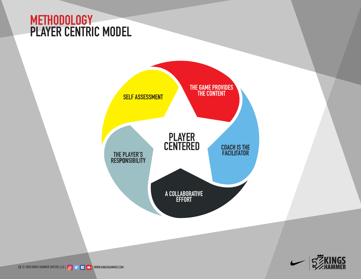### **METHODOLOGY PLAYER CENTRIC MODEL**





**EXAMPLER SOCCER, LLC | © DE | EXAMPLER**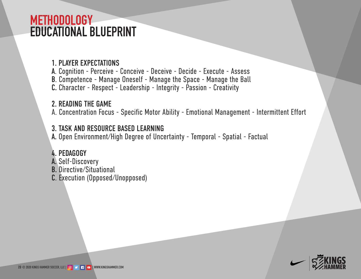### **METHODOLOGY EDUCATIONAL BLUEPRINT**

### 1. PLAYER EXPECTATIONS

A. Cognition - Perceive - Conceive - Deceive - Decide - Execute - Assess

- B. Competence Manage Oneself Manage the Space Manage the Ball
- C. Character Respect Leadership Integrity Passion Creativity

### 2. READING THE GAME

A. Concentration Focus - Specific Motor Ability - Emotional Management - Intermittent Effort

### 3. TASK AND RESOURCE BASED LEARNING

A. Open Environment/High Degree of Uncertainty - Temporal - Spatial - Factual

### 4. PEDAGOGY

- A. Self-Discovery
- B. Directive/Situational
- C. Execution (Opposed/Unopposed)